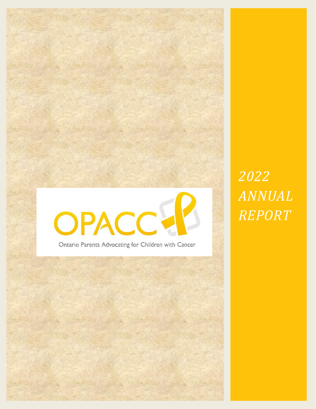

Ontario Parents Advocating for Children with Cancer

*2022 ANNUAL REPORT*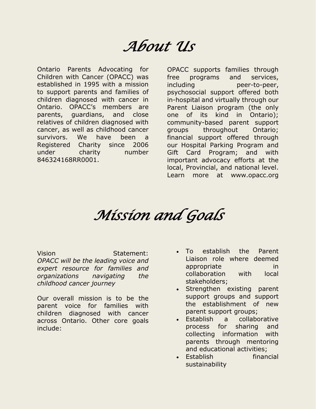## *About Us*

Ontario Parents Advocating for Children with Cancer (OPACC) was established in 1995 with a mission to support parents and families of children diagnosed with cancer in Ontario. OPACC's members are parents, guardians, and close relatives of children diagnosed with cancer, as well as childhood cancer survivors. We have been a Registered Charity since 2006 under charity number 846324168RR0001.

OPACC supports families through free programs and services, including peer-to-peer, psychosocial support offered both in-hospital and virtually through our Parent Liaison program (the only one of its kind in Ontario); community-based parent support groups throughout Ontario; financial support offered through our Hospital Parking Program and Gift Card Program; and with important advocacy efforts at the local, Provincial, and national level. Learn more at www.opacc.org

## *Mission and Goals*

Vision **Statement:** *OPACC will be the leading voice and expert resource for families and organizations navigating the childhood cancer journey*

Our overall mission is to be the parent voice for families with children diagnosed with cancer across Ontario. Other core goals include:

- To establish the Parent Liaison role where deemed appropriate in collaboration with local stakeholders;
- Strengthen existing parent support groups and support the establishment of new parent support groups;
- Establish a collaborative process for sharing and collecting information with parents through mentoring and educational activities;
- Establish financial sustainability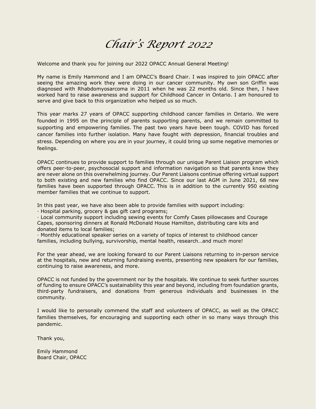### *Chair's Report 2022*

Welcome and thank you for joining our 2022 OPACC Annual General Meeting!

My name is Emily Hammond and I am OPACC's Board Chair. I was inspired to join OPACC after seeing the amazing work they were doing in our cancer community. My own son Griffin was diagnosed with Rhabdomyosarcoma in 2011 when he was 22 months old. Since then, I have worked hard to raise awareness and support for Childhood Cancer in Ontario. I am honoured to serve and give back to this organization who helped us so much.

This year marks 27 years of OPACC supporting childhood cancer families in Ontario. We were founded in 1995 on the principle of parents supporting parents, and we remain committed to supporting and empowering families. The past two years have been tough. COVID has forced cancer families into further isolation. Many have fought with depression, financial troubles and stress. Depending on where you are in your journey, it could bring up some negative memories or feelings.

OPACC continues to provide support to families through our unique Parent Liaison program which offers peer-to-peer, psychosocial support and information navigation so that parents know they are never alone on this overwhelming journey. Our Parent Liaisons continue offering virtual support to both existing and new families who find OPACC. Since our last AGM in June 2021, 68 new families have been supported through OPACC. This is in addition to the currently 950 existing member families that we continue to support.

In this past year, we have also been able to provide families with support including:

· Hospital parking, grocery & gas gift card programs;

· Local community support including sewing events for Comfy Cases pillowcases and Courage Capes, sponsoring dinners at Ronald McDonald House Hamilton, distributing care kits and donated items to local families;

· Monthly educational speaker series on a variety of topics of interest to childhood cancer families, including bullying, survivorship, mental health, research…and much more!

For the year ahead, we are looking forward to our Parent Liaisons returning to in-person service at the hospitals, new and returning fundraising events, presenting new speakers for our families, continuing to raise awareness, and more.

OPACC is not funded by the government nor by the hospitals. We continue to seek further sources of funding to ensure OPACC's sustainability this year and beyond, including from foundation grants, third-party fundraisers, and donations from generous individuals and businesses in the community.

I would like to personally commend the staff and volunteers of OPACC, as well as the OPACC families themselves, for encouraging and supporting each other in so many ways through this pandemic.

Thank you,

Emily Hammond Board Chair, OPACC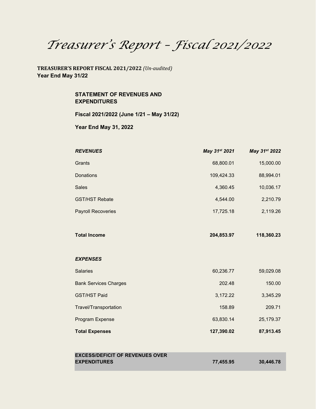*Treasurer's Report – Fiscal 2021/2022*

**TREASURER'S REPORT FISCAL 2021/2022** *(Un-audited)* **Year End May 31/22**

> **STATEMENT OF REVENUES AND EXPENDITURES**

**Fiscal 2021/2022 (June 1/21 – May 31/22)**

**Year End May 31, 2022**

| <b>REVENUES</b>              | May 31st 2021 | May 31st 2022 |
|------------------------------|---------------|---------------|
| Grants                       | 68,800.01     | 15,000.00     |
| Donations                    | 109,424.33    | 88,994.01     |
| <b>Sales</b>                 | 4,360.45      | 10,036.17     |
| <b>GST/HST Rebate</b>        | 4,544.00      | 2,210.79      |
| <b>Payroll Recoveries</b>    | 17,725.18     | 2,119.26      |
|                              |               |               |
| <b>Total Income</b>          | 204,853.97    | 118,360.23    |
|                              |               |               |
| <b>EXPENSES</b>              |               |               |
| <b>Salaries</b>              | 60,236.77     | 59,029.08     |
| <b>Bank Services Charges</b> | 202.48        | 150.00        |
| <b>GST/HST Paid</b>          | 3,172.22      | 3,345.29      |
| Travel/Transportation        | 158.89        | 209.71        |
| Program Expense              | 63,830.14     | 25,179.37     |
|                              |               |               |

| <b>EXCESS/DEFICIT OF REVENUES OVER</b> |           |           |
|----------------------------------------|-----------|-----------|
| <b>EXPENDITURES</b>                    | 77.455.95 | 30,446.78 |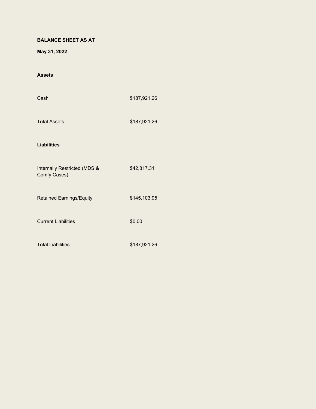#### **BALANCE SHEET AS AT**

**May 31, 2022**

#### **Assets**

| Cash                                         | \$187,921.26 |
|----------------------------------------------|--------------|
| <b>Total Assets</b>                          | \$187,921.26 |
| <b>Liabilities</b>                           |              |
| Internally Restricted (MDS &<br>Comfy Cases) | \$42,817.31  |
| <b>Retained Earnings/Equity</b>              | \$145,103.95 |
| <b>Current Liabilities</b>                   | \$0.00       |
| <b>Total Liabilities</b>                     | \$187,921.26 |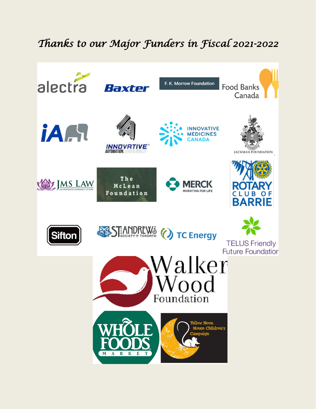### *Thanks to our Major Funders in Fiscal 2021-2022*